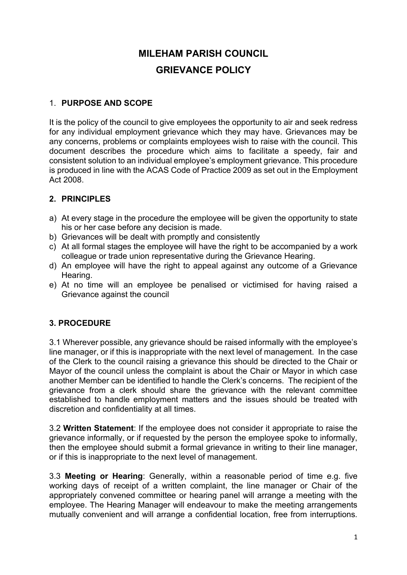# **MILEHAM PARISH COUNCIL GRIEVANCE POLICY**

## 1. **PURPOSE AND SCOPE**

It is the policy of the council to give employees the opportunity to air and seek redress for any individual employment grievance which they may have. Grievances may be any concerns, problems or complaints employees wish to raise with the council. This document describes the procedure which aims to facilitate a speedy, fair and consistent solution to an individual employee's employment grievance. This procedure is produced in line with the ACAS Code of Practice 2009 as set out in the Employment Act 2008.

## **2. PRINCIPLES**

- a) At every stage in the procedure the employee will be given the opportunity to state his or her case before any decision is made.
- b) Grievances will be dealt with promptly and consistently
- c) At all formal stages the employee will have the right to be accompanied by a work colleague or trade union representative during the Grievance Hearing.
- d) An employee will have the right to appeal against any outcome of a Grievance Hearing.
- e) At no time will an employee be penalised or victimised for having raised a Grievance against the council

#### **3. PROCEDURE**

3.1 Wherever possible, any grievance should be raised informally with the employee's line manager, or if this is inappropriate with the next level of management. In the case of the Clerk to the council raising a grievance this should be directed to the Chair or Mayor of the council unless the complaint is about the Chair or Mayor in which case another Member can be identified to handle the Clerk's concerns. The recipient of the grievance from a clerk should share the grievance with the relevant committee established to handle employment matters and the issues should be treated with discretion and confidentiality at all times.

3.2 **Written Statement**: If the employee does not consider it appropriate to raise the grievance informally, or if requested by the person the employee spoke to informally, then the employee should submit a formal grievance in writing to their line manager, or if this is inappropriate to the next level of management.

3.3 **Meeting or Hearing**: Generally, within a reasonable period of time e.g. five working days of receipt of a written complaint, the line manager or Chair of the appropriately convened committee or hearing panel will arrange a meeting with the employee. The Hearing Manager will endeavour to make the meeting arrangements mutually convenient and will arrange a confidential location, free from interruptions.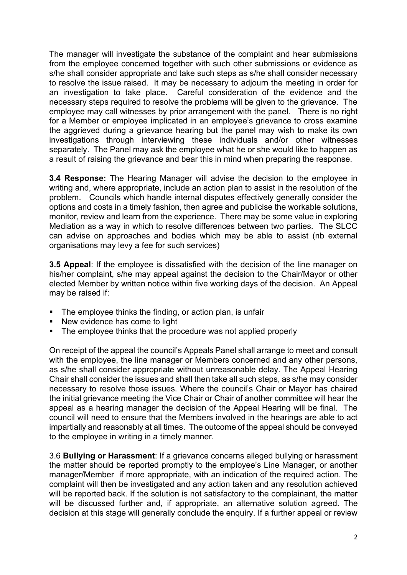The manager will investigate the substance of the complaint and hear submissions from the employee concerned together with such other submissions or evidence as s/he shall consider appropriate and take such steps as s/he shall consider necessary to resolve the issue raised. It may be necessary to adjourn the meeting in order for an investigation to take place. Careful consideration of the evidence and the necessary steps required to resolve the problems will be given to the grievance. The employee may call witnesses by prior arrangement with the panel. There is no right for a Member or employee implicated in an employee's grievance to cross examine the aggrieved during a grievance hearing but the panel may wish to make its own investigations through interviewing these individuals and/or other witnesses separately. The Panel may ask the employee what he or she would like to happen as a result of raising the grievance and bear this in mind when preparing the response.

**3.4 Response:** The Hearing Manager will advise the decision to the employee in writing and, where appropriate, include an action plan to assist in the resolution of the problem. Councils which handle internal disputes effectively generally consider the options and costs in a timely fashion, then agree and publicise the workable solutions, monitor, review and learn from the experience. There may be some value in exploring Mediation as a way in which to resolve differences between two parties. The SLCC can advise on approaches and bodies which may be able to assist (nb external organisations may levy a fee for such services)

**3.5 Appeal**: If the employee is dissatisfied with the decision of the line manager on his/her complaint, s/he may appeal against the decision to the Chair/Mayor or other elected Member by written notice within five working days of the decision. An Appeal may be raised if:

- The employee thinks the finding, or action plan, is unfair
- New evidence has come to light
- The employee thinks that the procedure was not applied properly

On receipt of the appeal the council's Appeals Panel shall arrange to meet and consult with the employee, the line manager or Members concerned and any other persons, as s/he shall consider appropriate without unreasonable delay. The Appeal Hearing Chair shall consider the issues and shall then take all such steps, as s/he may consider necessary to resolve those issues. Where the council's Chair or Mayor has chaired the initial grievance meeting the Vice Chair or Chair of another committee will hear the appeal as a hearing manager the decision of the Appeal Hearing will be final. The council will need to ensure that the Members involved in the hearings are able to act impartially and reasonably at all times. The outcome of the appeal should be conveyed to the employee in writing in a timely manner.

3.6 **Bullying or Harassment**: If a grievance concerns alleged bullying or harassment the matter should be reported promptly to the employee's Line Manager, or another manager/Member if more appropriate, with an indication of the required action. The complaint will then be investigated and any action taken and any resolution achieved will be reported back. If the solution is not satisfactory to the complainant, the matter will be discussed further and, if appropriate, an alternative solution agreed. The decision at this stage will generally conclude the enquiry. If a further appeal or review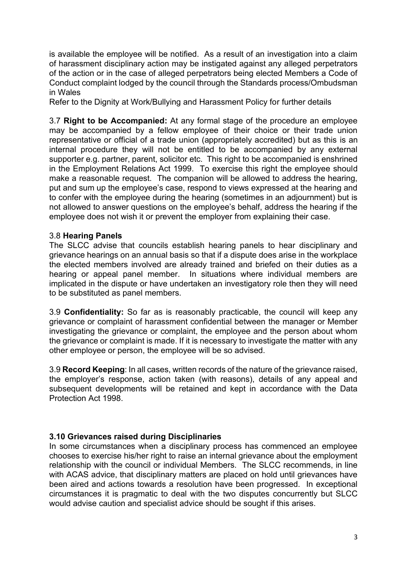is available the employee will be notified. As a result of an investigation into a claim of harassment disciplinary action may be instigated against any alleged perpetrators of the action or in the case of alleged perpetrators being elected Members a Code of Conduct complaint lodged by the council through the Standards process/Ombudsman in Wales

Refer to the Dignity at Work/Bullying and Harassment Policy for further details

3.7 **Right to be Accompanied:** At any formal stage of the procedure an employee may be accompanied by a fellow employee of their choice or their trade union representative or official of a trade union (appropriately accredited) but as this is an internal procedure they will not be entitled to be accompanied by any external supporter e.g. partner, parent, solicitor etc. This right to be accompanied is enshrined in the Employment Relations Act 1999. To exercise this right the employee should make a reasonable request. The companion will be allowed to address the hearing, put and sum up the employee's case, respond to views expressed at the hearing and to confer with the employee during the hearing (sometimes in an adjournment) but is not allowed to answer questions on the employee's behalf, address the hearing if the employee does not wish it or prevent the employer from explaining their case.

#### 3.8 **Hearing Panels**

The SLCC advise that councils establish hearing panels to hear disciplinary and grievance hearings on an annual basis so that if a dispute does arise in the workplace the elected members involved are already trained and briefed on their duties as a hearing or appeal panel member. In situations where individual members are implicated in the dispute or have undertaken an investigatory role then they will need to be substituted as panel members.

3.9 **Confidentiality:** So far as is reasonably practicable, the council will keep any grievance or complaint of harassment confidential between the manager or Member investigating the grievance or complaint, the employee and the person about whom the grievance or complaint is made. If it is necessary to investigate the matter with any other employee or person, the employee will be so advised.

3.9 **Record Keeping**: In all cases, written records of the nature of the grievance raised, the employer's response, action taken (with reasons), details of any appeal and subsequent developments will be retained and kept in accordance with the Data Protection Act 1998.

#### **3.10 Grievances raised during Disciplinaries**

In some circumstances when a disciplinary process has commenced an employee chooses to exercise his/her right to raise an internal grievance about the employment relationship with the council or individual Members. The SLCC recommends, in line with ACAS advice, that disciplinary matters are placed on hold until grievances have been aired and actions towards a resolution have been progressed. In exceptional circumstances it is pragmatic to deal with the two disputes concurrently but SLCC would advise caution and specialist advice should be sought if this arises.